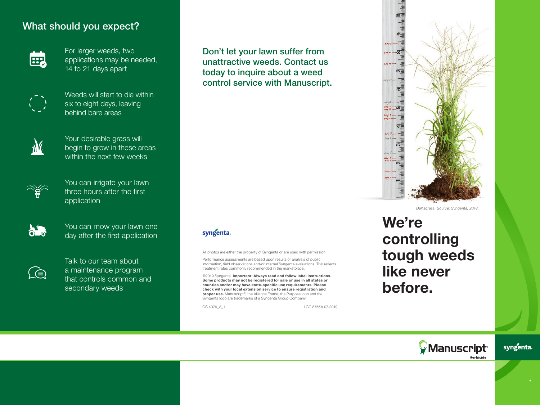#### What should you expect?



For larger weeds, two applications may be needed, 14 to 21 days apart



Weeds will start to die within six to eight days, leaving behind bare areas



Your desirable grass will begin to grow in these areas within the next few weeks



You can irrigate your lawn three hours after the first application



You can mow your lawn one day after the first application



Talk to our team about a maintenance program that controls common and secondary weeds

Don't let your lawn suffer from unattractive weeds. Contact us today to inquire about a weed control service with Manuscript.

#### syngenta.

All photos are either the property of Syngenta or are used with permission.

Performance assessments are based upon results or analysis of public information, field observations and/or internal Syngenta evaluations. Trial reflects treatment rates commonly recommended in the marketplace.

©2019 Syngenta. Important: Always read and follow label instructions. Some products may not be registered for sale or use in all states or counties and/or may have state-specific use requirements. Please check with your local extension service to ensure registration and proper use. Manuscript<sup>®</sup>, the Alliance Frame, the Purpose Icon and the Syngenta logo are trademarks of a Syngenta Group Company.

GS 4376 8 1 LGC 8755A 07-2019



*Dallisgrass. Source: Syngenta, 2018.*

## We're controlling tough weeds like never before.



syngenta